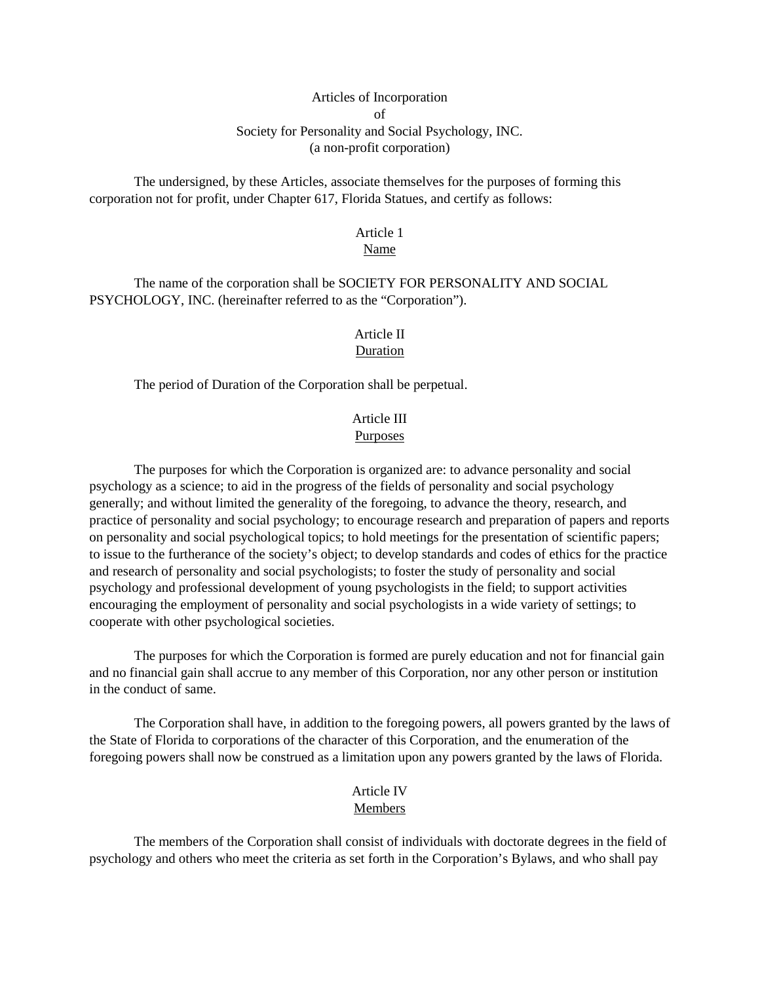# Articles of Incorporation of Society for Personality and Social Psychology, INC. (a non-profit corporation)

The undersigned, by these Articles, associate themselves for the purposes of forming this corporation not for profit, under Chapter 617, Florida Statues, and certify as follows:

# Article 1

# Name

The name of the corporation shall be SOCIETY FOR PERSONALITY AND SOCIAL PSYCHOLOGY, INC. (hereinafter referred to as the "Corporation").

# Article II Duration

The period of Duration of the Corporation shall be perpetual.

#### Article III Purposes

The purposes for which the Corporation is organized are: to advance personality and social psychology as a science; to aid in the progress of the fields of personality and social psychology generally; and without limited the generality of the foregoing, to advance the theory, research, and practice of personality and social psychology; to encourage research and preparation of papers and reports on personality and social psychological topics; to hold meetings for the presentation of scientific papers; to issue to the furtherance of the society's object; to develop standards and codes of ethics for the practice and research of personality and social psychologists; to foster the study of personality and social psychology and professional development of young psychologists in the field; to support activities encouraging the employment of personality and social psychologists in a wide variety of settings; to cooperate with other psychological societies.

The purposes for which the Corporation is formed are purely education and not for financial gain and no financial gain shall accrue to any member of this Corporation, nor any other person or institution in the conduct of same.

The Corporation shall have, in addition to the foregoing powers, all powers granted by the laws of the State of Florida to corporations of the character of this Corporation, and the enumeration of the foregoing powers shall now be construed as a limitation upon any powers granted by the laws of Florida.

# Article IV

#### Members

The members of the Corporation shall consist of individuals with doctorate degrees in the field of psychology and others who meet the criteria as set forth in the Corporation's Bylaws, and who shall pay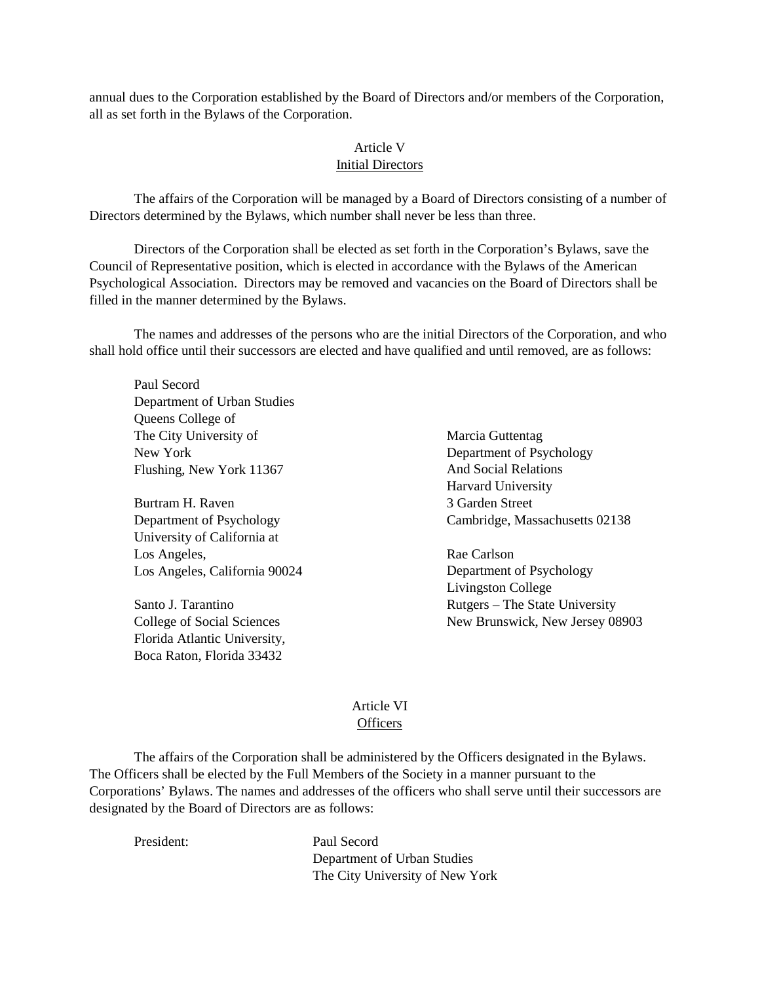annual dues to the Corporation established by the Board of Directors and/or members of the Corporation, all as set forth in the Bylaws of the Corporation.

## Article V

#### Initial Directors

The affairs of the Corporation will be managed by a Board of Directors consisting of a number of Directors determined by the Bylaws, which number shall never be less than three.

Directors of the Corporation shall be elected as set forth in the Corporation's Bylaws, save the Council of Representative position, which is elected in accordance with the Bylaws of the American Psychological Association. Directors may be removed and vacancies on the Board of Directors shall be filled in the manner determined by the Bylaws.

The names and addresses of the persons who are the initial Directors of the Corporation, and who shall hold office until their successors are elected and have qualified and until removed, are as follows:

Paul Secord Department of Urban Studies Queens College of The City University of New York Flushing, New York 11367

Burtram H. Raven Department of Psychology University of California at Los Angeles, Los Angeles, California 90024

Santo J. Tarantino College of Social Sciences Florida Atlantic University, Boca Raton, Florida 33432

Marcia Guttentag Department of Psychology And Social Relations Harvard University 3 Garden Street Cambridge, Massachusetts 02138

Rae Carlson Department of Psychology Livingston College Rutgers – The State University New Brunswick, New Jersey 08903

# Article VI **Officers**

The affairs of the Corporation shall be administered by the Officers designated in the Bylaws. The Officers shall be elected by the Full Members of the Society in a manner pursuant to the Corporations' Bylaws. The names and addresses of the officers who shall serve until their successors are designated by the Board of Directors are as follows:

President: Paul Secord Department of Urban Studies The City University of New York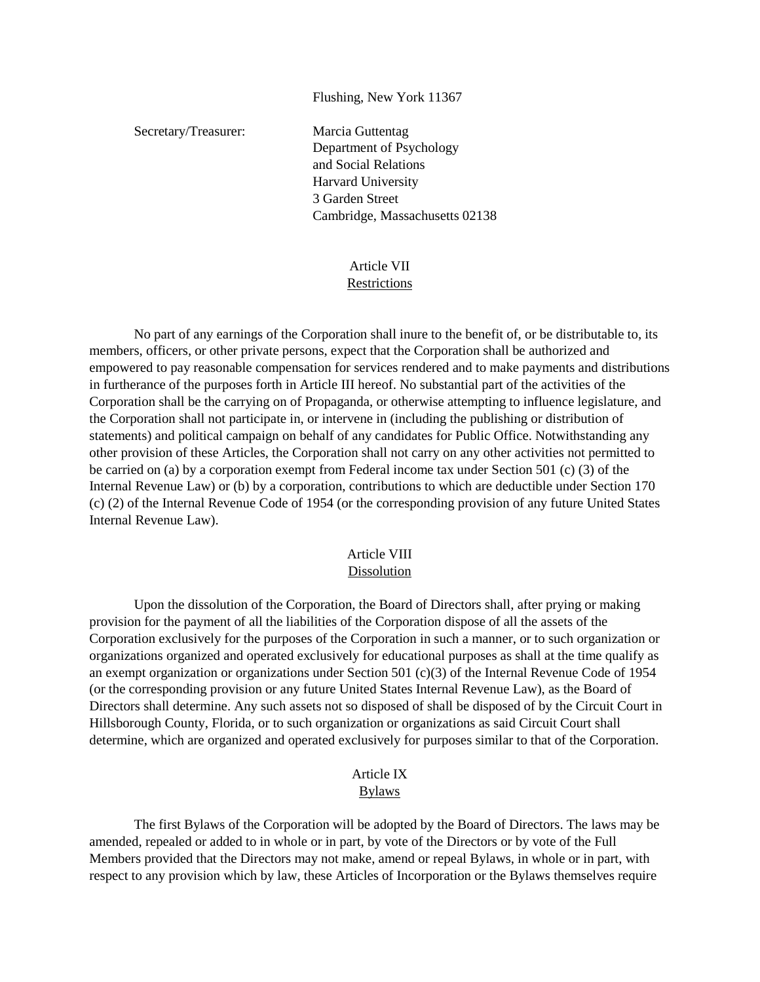Flushing, New York 11367

Secretary/Treasurer: Marcia Guttentag Department of Psychology and Social Relations Harvard University 3 Garden Street Cambridge, Massachusetts 02138

#### Article VII **Restrictions**

No part of any earnings of the Corporation shall inure to the benefit of, or be distributable to, its members, officers, or other private persons, expect that the Corporation shall be authorized and empowered to pay reasonable compensation for services rendered and to make payments and distributions in furtherance of the purposes forth in Article III hereof. No substantial part of the activities of the Corporation shall be the carrying on of Propaganda, or otherwise attempting to influence legislature, and the Corporation shall not participate in, or intervene in (including the publishing or distribution of statements) and political campaign on behalf of any candidates for Public Office. Notwithstanding any other provision of these Articles, the Corporation shall not carry on any other activities not permitted to be carried on (a) by a corporation exempt from Federal income tax under Section 501 (c) (3) of the Internal Revenue Law) or (b) by a corporation, contributions to which are deductible under Section 170 (c) (2) of the Internal Revenue Code of 1954 (or the corresponding provision of any future United States Internal Revenue Law).

#### Article VIII Dissolution

Upon the dissolution of the Corporation, the Board of Directors shall, after prying or making provision for the payment of all the liabilities of the Corporation dispose of all the assets of the Corporation exclusively for the purposes of the Corporation in such a manner, or to such organization or organizations organized and operated exclusively for educational purposes as shall at the time qualify as an exempt organization or organizations under Section 501 (c)(3) of the Internal Revenue Code of 1954 (or the corresponding provision or any future United States Internal Revenue Law), as the Board of Directors shall determine. Any such assets not so disposed of shall be disposed of by the Circuit Court in Hillsborough County, Florida, or to such organization or organizations as said Circuit Court shall determine, which are organized and operated exclusively for purposes similar to that of the Corporation.

#### Article IX Bylaws

The first Bylaws of the Corporation will be adopted by the Board of Directors. The laws may be amended, repealed or added to in whole or in part, by vote of the Directors or by vote of the Full Members provided that the Directors may not make, amend or repeal Bylaws, in whole or in part, with respect to any provision which by law, these Articles of Incorporation or the Bylaws themselves require